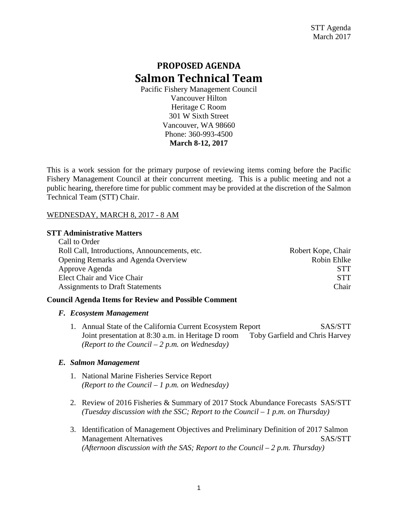# **PROPOSED AGENDA Salmon Technical Team**

Pacific Fishery Management Council Vancouver Hilton Heritage C Room 301 W Sixth Street Vancouver, WA 98660 Phone: 360-993-4500 **March 8-12, 2017**

This is a work session for the primary purpose of reviewing items coming before the Pacific Fishery Management Council at their concurrent meeting. This is a public meeting and not a public hearing, therefore time for public comment may be provided at the discretion of the Salmon Technical Team (STT) Chair.

# WEDNESDAY, MARCH 8, 2017 - 8 AM

# **STT Administrative Matters**

| Call to Order                                 |                    |
|-----------------------------------------------|--------------------|
| Roll Call, Introductions, Announcements, etc. | Robert Kope, Chair |
| Opening Remarks and Agenda Overview           | Robin Ehlke        |
| Approve Agenda                                | <b>STT</b>         |
| Elect Chair and Vice Chair                    | <b>STT</b>         |
| <b>Assignments to Draft Statements</b>        | Chair              |

# **Council Agenda Items for Review and Possible Comment**

# *F. Ecosystem Management*

1. Annual State of the California Current Ecosystem Report SAS/STT Joint presentation at 8:30 a.m. in Heritage D room Toby Garfield and Chris Harvey *(Report to the Council – 2 p.m. on Wednesday)* 

# *E. Salmon Management*

- 1. National Marine Fisheries Service Report *(Report to the Council – 1 p.m. on Wednesday)*
- 2. Review of 2016 Fisheries & Summary of 2017 Stock Abundance Forecasts SAS/STT *(Tuesday discussion with the SSC; Report to the Council – 1 p.m. on Thursday)*
- 3. Identification of Management Objectives and Preliminary Definition of 2017 Salmon Management Alternatives and the state of the SAS/STT *(Afternoon discussion with the SAS; Report to the Council – 2 p.m. Thursday)*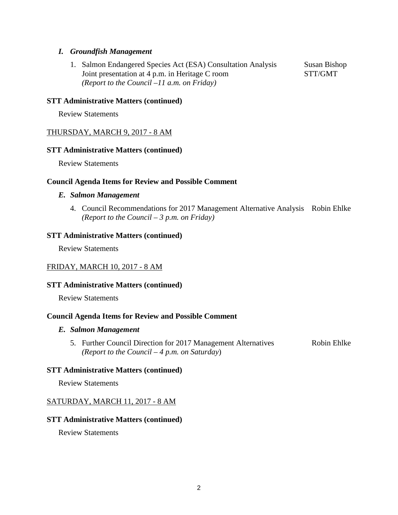# *I. Groundfish Management*

1. Salmon Endangered Species Act (ESA) Consultation Analysis Susan Bishop Joint presentation at 4 p.m. in Heritage C room STT/GMT *(Report to the Council –11 a.m. on Friday)*

## **STT Administrative Matters (continued)**

Review Statements

## THURSDAY, MARCH 9, 2017 - 8 AM

## **STT Administrative Matters (continued)**

Review Statements

#### **Council Agenda Items for Review and Possible Comment**

#### *E. Salmon Management*

4. Council Recommendations for 2017 Management Alternative Analysis Robin Ehlke *(Report to the Council – 3 p.m. on Friday)*

#### **STT Administrative Matters (continued)**

Review Statements

#### FRIDAY, MARCH 10, 2017 - 8 AM

#### **STT Administrative Matters (continued)**

Review Statements

#### **Council Agenda Items for Review and Possible Comment**

#### *E. Salmon Management*

5. Further Council Direction for 2017 Management Alternatives Robin Ehlke *(Report to the Council – 4 p.m. on Saturday*)

## **STT Administrative Matters (continued)**

Review Statements

#### SATURDAY, MARCH 11, 2017 - 8 AM

## **STT Administrative Matters (continued)**

Review Statements